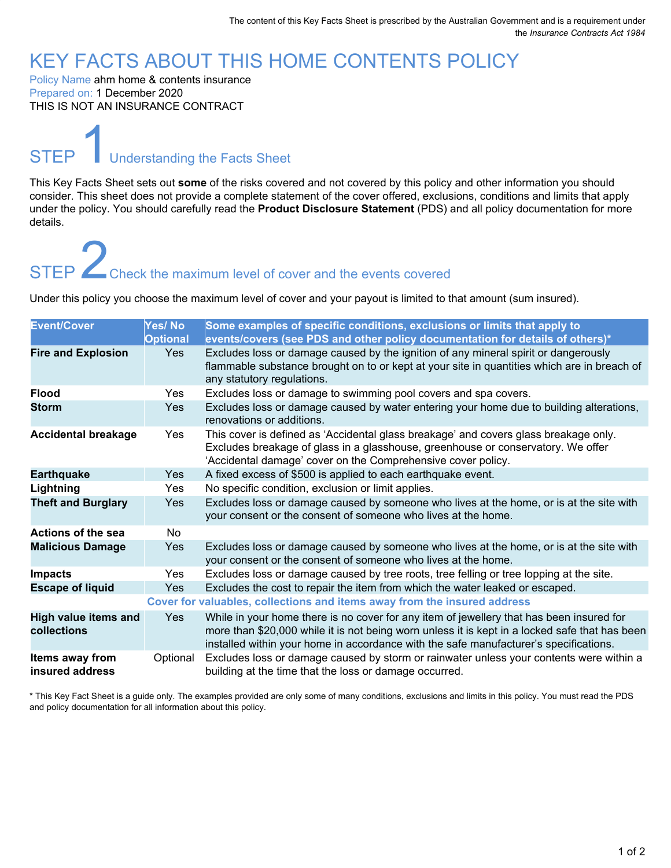### KEY FACTS ABOUT THIS HOME CONTENTS POLICY

Policy Name ahm home & contents insurance Prepared on: 1 December 2020 THIS IS NOT AN INSURANCE CONTRACT

# **STEP** Understanding the Facts Sheet

This Key Facts Sheet sets out **some** of the risks covered and not covered by this policy and other information you should consider. This sheet does not provide a complete statement of the cover offered, exclusions, conditions and limits that apply under the policy. You should carefully read the **Product Disclosure Statement** (PDS) and all policy documentation for more details.

# STEP 2Check the maximum level of cover and the events covered

Under this policy you choose the maximum level of cover and your payout is limited to that amount (sum insured).

| <b>Event/Cover</b>                         | Yes/No<br><b>Optional</b> | Some examples of specific conditions, exclusions or limits that apply to<br>events/covers (see PDS and other policy documentation for details of others)*                                                                                                                           |
|--------------------------------------------|---------------------------|-------------------------------------------------------------------------------------------------------------------------------------------------------------------------------------------------------------------------------------------------------------------------------------|
| <b>Fire and Explosion</b>                  | <b>Yes</b>                | Excludes loss or damage caused by the ignition of any mineral spirit or dangerously<br>flammable substance brought on to or kept at your site in quantities which are in breach of<br>any statutory regulations.                                                                    |
| <b>Flood</b>                               | Yes                       | Excludes loss or damage to swimming pool covers and spa covers.                                                                                                                                                                                                                     |
| <b>Storm</b>                               | <b>Yes</b>                | Excludes loss or damage caused by water entering your home due to building alterations,<br>renovations or additions.                                                                                                                                                                |
| <b>Accidental breakage</b>                 | Yes                       | This cover is defined as 'Accidental glass breakage' and covers glass breakage only.<br>Excludes breakage of glass in a glasshouse, greenhouse or conservatory. We offer<br>'Accidental damage' cover on the Comprehensive cover policy.                                            |
| <b>Earthquake</b>                          | <b>Yes</b>                | A fixed excess of \$500 is applied to each earthquake event.                                                                                                                                                                                                                        |
| Lightning                                  | <b>Yes</b>                | No specific condition, exclusion or limit applies.                                                                                                                                                                                                                                  |
| <b>Theft and Burglary</b>                  | <b>Yes</b>                | Excludes loss or damage caused by someone who lives at the home, or is at the site with<br>your consent or the consent of someone who lives at the home.                                                                                                                            |
| Actions of the sea                         | No.                       |                                                                                                                                                                                                                                                                                     |
| <b>Malicious Damage</b>                    | <b>Yes</b>                | Excludes loss or damage caused by someone who lives at the home, or is at the site with<br>your consent or the consent of someone who lives at the home.                                                                                                                            |
| <b>Impacts</b>                             | <b>Yes</b>                | Excludes loss or damage caused by tree roots, tree felling or tree lopping at the site.                                                                                                                                                                                             |
| <b>Escape of liquid</b>                    | <b>Yes</b>                | Excludes the cost to repair the item from which the water leaked or escaped.                                                                                                                                                                                                        |
|                                            |                           | Cover for valuables, collections and items away from the insured address                                                                                                                                                                                                            |
| <b>High value items and</b><br>collections | Yes                       | While in your home there is no cover for any item of jewellery that has been insured for<br>more than \$20,000 while it is not being worn unless it is kept in a locked safe that has been<br>installed within your home in accordance with the safe manufacturer's specifications. |
| Items away from<br>insured address         | Optional                  | Excludes loss or damage caused by storm or rainwater unless your contents were within a<br>building at the time that the loss or damage occurred.                                                                                                                                   |

\* This Key Fact Sheet is a guide only. The examples provided are only some of many conditions, exclusions and limits in this policy. You must read the PDS and policy documentation for all information about this policy.